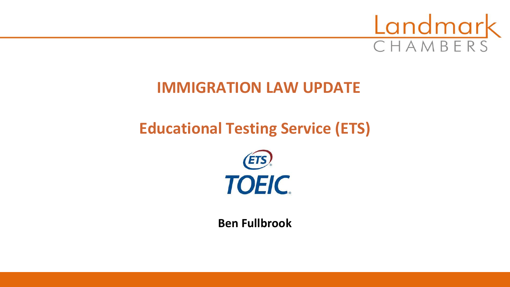

# **IMMIGRATION LAW UPDATE**

# **Educational Testing Service (ETS)**



**Ben Fullbrook**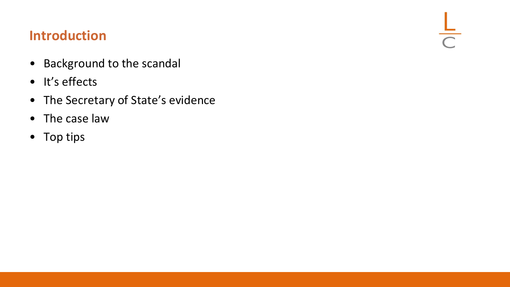#### **Introduction**

- Background to the scandal
- It's effects
- The Secretary of State's evidence

 $rac{L}{C}$ 

- The case law
- Top tips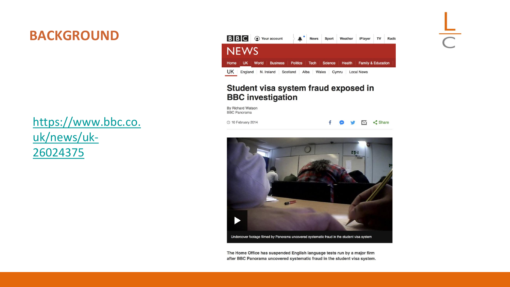#### **BACKGROUND**

[https://www.bbc.co.](https://www.bbc.co.uk/news/uk-26024375) uk/news/uk-26024375



#### Student visa system fraud exposed in **BBC** investigation

By Richard Watson **BBC** Panorama

**① 10 February 2014** 

 $\leq$  Share  $\nabla$ 

 $\frac{L}{C}$ 



The Home Office has suspended English language tests run by a major firm after BBC Panorama uncovered systematic fraud in the student visa system.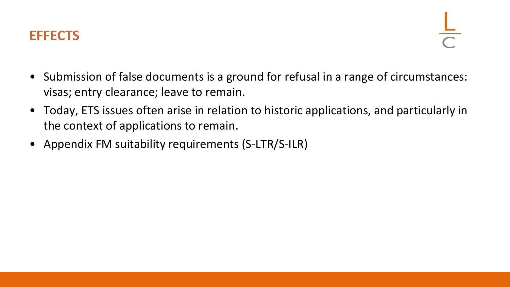

- Submission of false documents is a ground for refusal in a range of circumstances: visas; entry clearance; leave to remain.
- Today, ETS issues often arise in relation to historic applications, and particularly in the context of applications to remain.
- Appendix FM suitability requirements (S-LTR/S-ILR)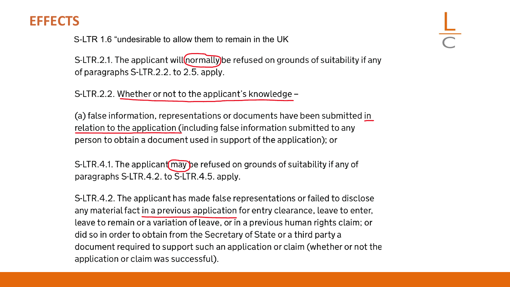#### **EFFECTS**

S-LTR 1.6 "undesirable to allow them to remain in the UK

S-LTR.2.1. The applicant will (normally) be refused on grounds of suitability if any of paragraphs S-LTR.2.2. to 2.5. apply.

S-LTR.2.2. Whether or not to the applicant's knowledge –

(a) false information, representations or documents have been submitted in relation to the application (including false information submitted to any person to obtain a document used in support of the application); or

S-LTR.4.1. The applicant may be refused on grounds of suitability if any of paragraphs S-LTR.4.2. to S-LTR.4.5. apply.

S-LTR.4.2. The applicant has made false representations or failed to disclose any material fact in a previous application for entry clearance, leave to enter, leave to remain or a variation of leave, or in a previous human rights claim; or did so in order to obtain from the Secretary of State or a third party a document required to support such an application or claim (whether or not the application or claim was successful).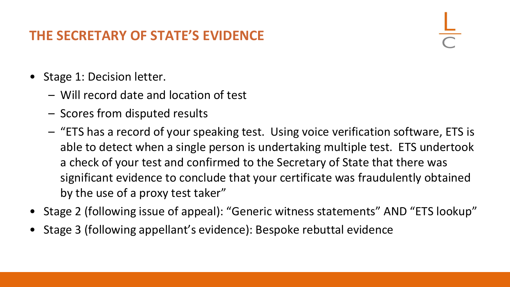#### **THE SECRETARY OF STATE'S EVIDENCE**

- Stage 1: Decision letter.
	- Will record date and location of test
	- Scores from disputed results
	- "ETS has a record of your speaking test. Using voice verification software, ETS is able to detect when a single person is undertaking multiple test. ETS undertook a check of your test and confirmed to the Secretary of State that there was significant evidence to conclude that your certificate was fraudulently obtained by the use of a proxy test taker"
- Stage 2 (following issue of appeal): "Generic witness statements" AND "ETS lookup"
- Stage 3 (following appellant's evidence): Bespoke rebuttal evidence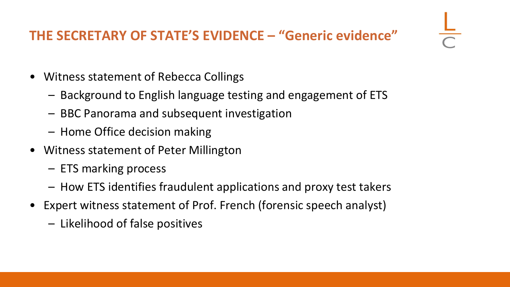## **THE SECRETARY OF STATE'S EVIDENCE – "Generic evidence"**

- Witness statement of Rebecca Collings
	- Background to English language testing and engagement of ETS
	- BBC Panorama and subsequent investigation
	- Home Office decision making
- Witness statement of Peter Millington
	- ETS marking process
	- How ETS identifies fraudulent applications and proxy test takers
- Expert witness statement of Prof. French (forensic speech analyst)
	- Likelihood of false positives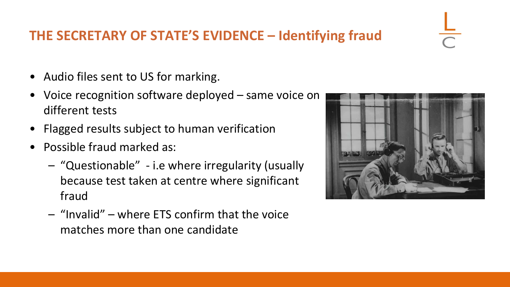#### **THE SECRETARY OF STATE'S EVIDENCE – Identifying fraud**

- Audio files sent to US for marking.
- Voice recognition software deployed same voice on different tests
- Flagged results subject to human verification
- Possible fraud marked as:
	- "Questionable" i.e where irregularity (usually because test taken at centre where significant fraud
	- "Invalid" where ETS confirm that the voice matches more than one candidate

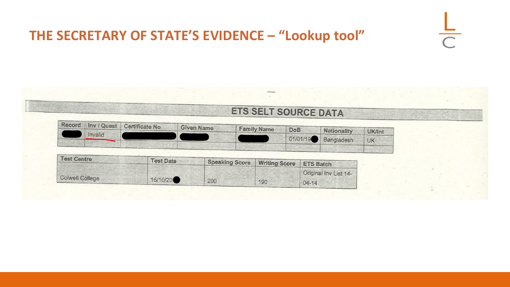### **THE SECRETARY OF STATE'S EVIDENCE – "Lookup tool"**

| <b>ETS SELT SOURCE DATA</b> |  |  |
|-----------------------------|--|--|
|                             |  |  |

 $\overline{\bigcap}$ 

| Record |         | Inv / Quest Certificate No |                   |                    |     |                      |        |
|--------|---------|----------------------------|-------------------|--------------------|-----|----------------------|--------|
|        |         |                            | <b>Given Name</b> | <b>Family Name</b> | DoB | Nationality          | UK/Int |
|        | Invalid |                            |                   |                    |     | 101/01/19 Bangladesh | UK     |
|        |         |                            |                   |                    |     |                      |        |

| <b>Test Centre</b>     | <b>Test Date</b> | <b>Speaking Score</b> | <b>Writing Score</b> | <b>ETS Batch</b>      |
|------------------------|------------------|-----------------------|----------------------|-----------------------|
|                        |                  |                       |                      | Original Inv List 14- |
| <b>Colwell College</b> | 16/10/20         | 200                   | 190                  | $04 - 14$             |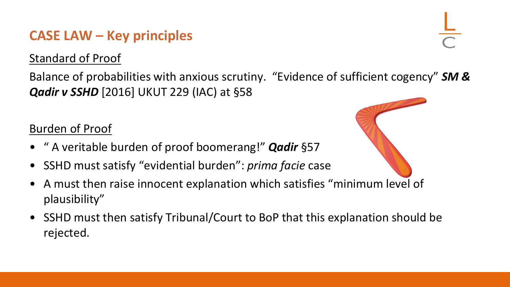#### **CASE LAW – Key principles**

Standard of Proof

Balance of probabilities with anxious scrutiny. "Evidence of sufficient cogency" *SM & Qadir v SSHD* [2016] UKUT 229 (IAC) at §58

#### Burden of Proof

- " A veritable burden of proof boomerang!" *Qadir* §57
- SSHD must satisfy "evidential burden": *prima facie* case
- A must then raise innocent explanation which satisfies "minimum level of plausibility"
- SSHD must then satisfy Tribunal/Court to BoP that this explanation should be rejected.

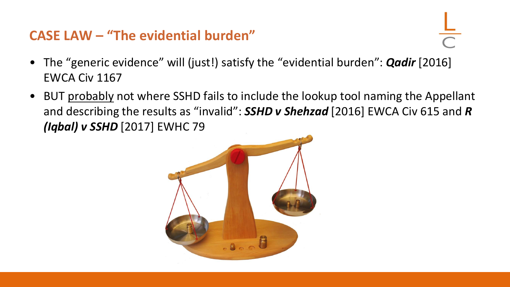#### **CASE LAW – "The evidential burden"**

- The "generic evidence" will (just!) satisfy the "evidential burden": *Qadir* [2016] EWCA Civ 1167
- BUT probably not where SSHD fails to include the lookup tool naming the Appellant and describing the results as "invalid": *SSHD v Shehzad* [2016] EWCA Civ 615 and *R (Iqbal) v SSHD* [2017] EWHC 79

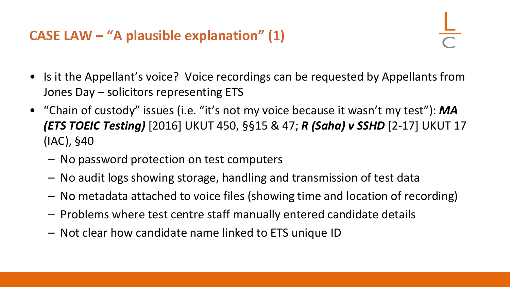- Is it the Appellant's voice? Voice recordings can be requested by Appellants from Jones Day – solicitors representing ETS
- "Chain of custody" issues (i.e. "it's not my voice because it wasn't my test"): *MA (ETS TOEIC Testing)* [2016] UKUT 450, §§15 & 47; *R (Saha) v SSHD* [2-17] UKUT 17 (IAC), §40
	- No password protection on test computers
	- No audit logs showing storage, handling and transmission of test data
	- No metadata attached to voice files (showing time and location of recording)
	- Problems where test centre staff manually entered candidate details
	- Not clear how candidate name linked to ETS unique ID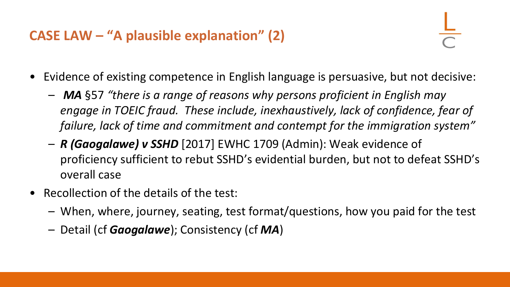### **CASE LAW – "A plausible explanation" (2)**

- Evidence of existing competence in English language is persuasive, but not decisive:
	- *MA* §57 *"there is a range of reasons why persons proficient in English may*  engage in TOEIC fraud. These include, inexhaustively, lack of confidence, fear of *failure, lack of time and commitment and contempt for the immigration system"*
	- *R (Gaogalawe) v SSHD* [2017] EWHC 1709 (Admin): Weak evidence of proficiency sufficient to rebut SSHD's evidential burden, but not to defeat SSHD's overall case
- Recollection of the details of the test:
	- When, where, journey, seating, test format/questions, how you paid for the test
	- Detail (cf *Gaogalawe*); Consistency (cf *MA*)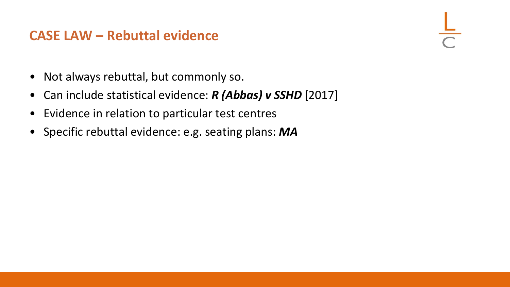#### **CASE LAW – Rebuttal evidence**

- Not always rebuttal, but commonly so.
- Can include statistical evidence: *R (Abbas) v SSHD* [2017]
- Evidence in relation to particular test centres
- Specific rebuttal evidence: e.g. seating plans: *MA*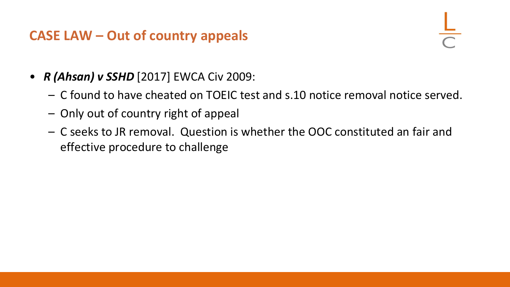#### **CASE LAW – Out of country appeals**

- *R (Ahsan) v SSHD* [2017] EWCA Civ 2009:
	- C found to have cheated on TOEIC test and s.10 notice removal notice served.
	- Only out of country right of appeal
	- C seeks to JR removal. Question is whether the OOC constituted an fair and effective procedure to challenge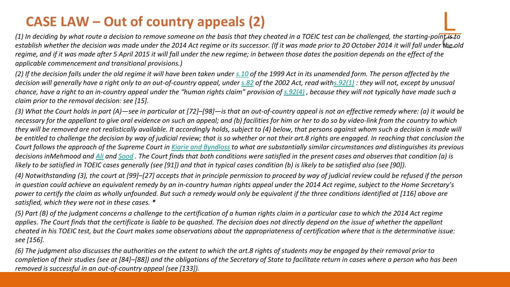#### **CASE LAW – Out of country appeals (2)**

*(1) In deciding by what route a decision to remove someone on the basis that they cheated in a TOEIC test can be challenged, the starting-point is to establish whether the decision was made under the 2014 Act regime or its successor. (If it was made prior to 20 October 2014 it will fall under the old*  regime, and if it was made after 5 April 2015 it will fall under the new regime; in between those dates the position depends on the effect of the *applicable commencement and transitional provisions.)*

*(2) If the decision falls under the old regime it will have been taken under [s.10](https://login.westlaw.co.uk/maf/wluk/app/document?src=doc&linktype=ref&context=107&crumb-action=replace&docguid=I0D643EF0E44911DA8D70A0E70A78ED65) of the 1999 Act in its unamended form. The person affected by the decision will generally have a right only to an out-of-country appeal, under [s.82](https://login.westlaw.co.uk/maf/wluk/app/document?src=doc&linktype=ref&context=107&crumb-action=replace&docguid=I0DD74C10E44911DA8D70A0E70A78ED65) of the 2002 Act, read wit[hs.92\(1\)](https://login.westlaw.co.uk/maf/wluk/app/document?src=doc&linktype=ref&context=107&crumb-action=replace&docguid=I0DC4AE70E44911DA8D70A0E70A78ED65) : they will not, except by unusual chance, have a right to an in-country appeal under the "human rights claim" provision of [s.92\(4\)](https://login.westlaw.co.uk/maf/wluk/app/document?src=doc&linktype=ref&context=107&crumb-action=replace&docguid=I0DC4AE70E44911DA8D70A0E70A78ED65) , because they will not typically have made such a claim prior to the removal decision: see [15].*

*(3) What the Court holds in part (A)—see in particular at [72]–[98]—is that an out-of-country appeal is not an effective remedy where: (a) it would be necessary for the appellant to give oral evidence on such an appeal; and (b) facilities for him or her to do so by video-link from the country to which they will be removed are not realistically available. It accordingly holds, subject to (4) below, that persons against whom such a decision is made will be entitled to challenge the decision by way of judicial review; that is so whether or not their art.8 rights are engaged. In reaching that conclusion the Court follows the approach of the Supreme Court in [Kiarie and Byndloss](https://login.westlaw.co.uk/maf/wluk/app/document?src=doc&linktype=ref&context=107&crumb-action=replace&docguid=I44F5A53050ED11E79904D721ABFC6D4B) to what are substantially similar circumstances and distinguishes its previous decisions inMehmood and [Ali](https://login.westlaw.co.uk/maf/wluk/app/document?src=doc&linktype=ref&context=107&crumb-action=replace&docguid=IB5A2BF002A4511E598DD83A2B0BD5249) and [Sood](https://login.westlaw.co.uk/maf/wluk/app/document?src=doc&linktype=ref&context=107&crumb-action=replace&docguid=I11F36870353D11E5A29992CCA4273973) . The Court finds that both conditions were satisfied in the present cases and observes that condition (a) is likely to be satisfied in TOEIC cases generally (see [91]) and that in typical cases condition (b) is likely to be satisfied also (see [90]).*

*(4) Notwithstanding (3), the court at [99]–[27] accepts that in principle permission to proceed by way of judicial review could be refused if the person in question could achieve an equivalent remedy by an in-country human rights appeal under the 2014 Act regime, subject to the Home Secretary's power to certify the claim as wholly unfounded. But such a remedy would only be equivalent if the three conditions identified at [116] above are satisfied, which they were not in these cases. \** 

*(5) Part (B) of the judgment concerns a challenge to the certification of a human rights claim in a particular case to which the 2014 Act regime applies. The Court finds that the certificate is liable to be quashed. The decision does not directly depend on the issue of whether the appellant cheated in his TOEIC test, but the Court makes some observations about the appropriateness of certification where that is the determinative issue: see [156].*

*(6) The judgment also discusses the authorities on the extent to which the art.8 rights of students may be engaged by their removal prior to completion of their studies (see at [84]–[88]) and the obligations of the Secretary of State to facilitate return in cases where a person who has been removed is successful in an out-of-country appeal (see [133]).*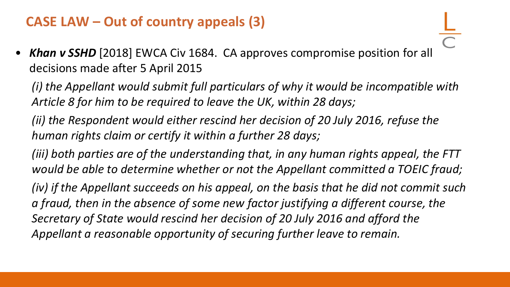#### **CASE LAW – Out of country appeals (3)**

• *Khan v SSHD* [2018] EWCA Civ 1684. CA approves compromise position for all decisions made after 5 April 2015

*(i) the Appellant would submit full particulars of why it would be incompatible with Article 8 for him to be required to leave the UK, within 28 days;*

*(ii) the Respondent would either rescind her decision of 20 July 2016, refuse the human rights claim or certify it within a further 28 days;*

*(iii) both parties are of the understanding that, in any human rights appeal, the FTT would be able to determine whether or not the Appellant committed a TOEIC fraud;*

*(iv) if the Appellant succeeds on his appeal, on the basis that he did not commit such a fraud, then in the absence of some new factor justifying a different course, the Secretary of State would rescind her decision of 20 July 2016 and afford the Appellant a reasonable opportunity of securing further leave to remain.*